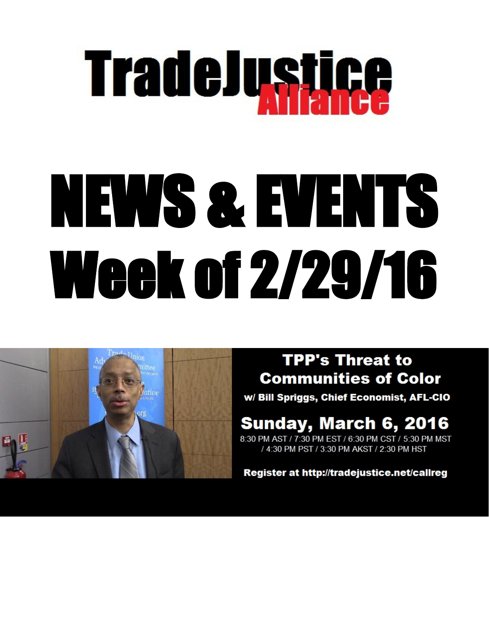# **TradeJustice**

## NEWS & EVENTS **Week of 2/29/16**



#### **TPP's Threat to Communities of Color**

w/ Bill Spriggs, Chief Economist, AFL-CIO

#### Sunday, March 6, 2016

8:30 PM AST / 7:30 PM EST / 6:30 PM CST / 5:30 PM MST 4:30 PM PST / 3:30 PM AKST / 2:30 PM HST

Register at http://tradejustice.net/callreg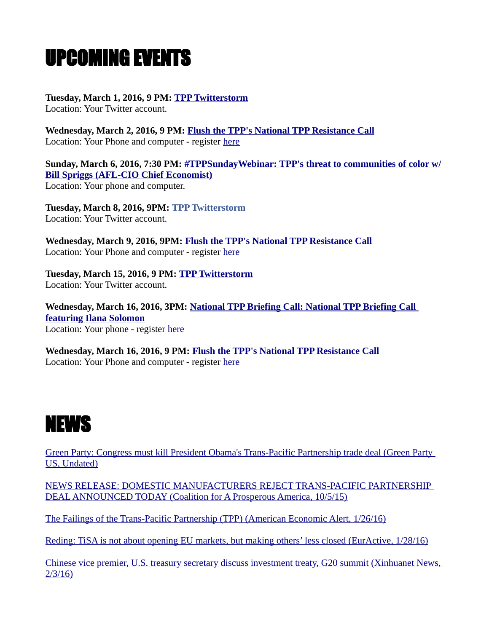### UPCOMING EVENTS

**Tuesday, March 1, 2016, 9 PM: [TPP Twitterstorm](https://www.facebook.com/events/552962168200035/?action_history=null&ref=4)**

Location: Your Twitter account.

**Wednesday, March 2, 2016, 9 PM: [Flush the TPP's National TPP Resistance Call](https://www.facebook.com/events/1724251337788700/?action_history=null&ref=4)** Location: Your Phone and computer - register [here](http://myaccount.maestroconference.com/conference/register/G6P276A1T572ZZOC)

**Sunday, March 6, 2016, 7:30 PM: [#TPPSundayWebinar: TPP's threat to communities of color w/](https://www.facebook.com/events/554935241353887/) [Bill Spriggs \(AFL-CIO Chief Economist\)](https://www.facebook.com/events/554935241353887/)** Location: Your phone and computer.

**Tuesday, March 8, 2016, 9PM: [TPP Twitterstorm](https://www.facebook.com/events/557843531059056/?action_history=null&ref=4)** Location: Your Twitter account.

**Wednesday, March 9, 2016, 9PM: [Flush the TPP's National TPP Resistance Call](https://www.facebook.com/events/902932196491710/?action_history=null&ref=4)** Location: Your Phone and computer - register [here](http://myaccount.maestroconference.com/conference/register/G6P276A1T572ZZOC)

**Tuesday, March 15, 2016, 9 PM: [TPP Twitterstorm](https://www.facebook.com/events/1743190202580617/?action_history=null&ref=4)** Location: Your Twitter account.

**Wednesday, March 16, 2016, 3PM: [National TPP Briefing Call: National TPP Briefing Call](https://www.facebook.com/events/454311611446422/)  [featuring Ilana Solomon](https://www.facebook.com/events/454311611446422/)** Location: Your phone - register [here](http://tinyurl.com/tppcalls) 

**Wednesday, March 16, 2016, 9 PM: [Flush the TPP's National TPP Resistance Call](https://www.facebook.com/events/1118997908141123/?action_history=null&ref=4)** Location: Your Phone and computer - register [here](http://myaccount.maestroconference.com/conference/register/G6P276A1T572ZZOC)



[Green Party: Congress must kill President Obama's Trans-Pacific Partnership trade deal \(Green Party](http://www.gp.org/green_party_congress_must_kill_president_obama_s_trans_pacific_partnership_trade_deal)  [US, Undated\)](http://www.gp.org/green_party_congress_must_kill_president_obama_s_trans_pacific_partnership_trade_deal)

[NEWS RELEASE: DOMESTIC MANUFACTURERS REJECT TRANS-PACIFIC PARTNERSHIP](http://www.prosperousamerica.org/news_release_domestic_manufacturers_reject_trans_pacific_partnership_deal_announced_today)  [DEAL ANNOUNCED TODAY \(Coalition for A Prosperous America, 10/5/15\)](http://www.prosperousamerica.org/news_release_domestic_manufacturers_reject_trans_pacific_partnership_deal_announced_today)

[The Failings of the Trans-Pacific Partnership \(TPP\) \(American Economic Alert, 1/26/16\)](http://americaneconomicalert.org/view_art.asp?Prod_ID=8093)

[Reding: TiSA is not about opening EU markets, but making others' less closed \(EurActive, 1/28/16\)](reding:%20TiSA%20is%20not%20about%20opening%20EU%20markets,+but+making+others%E2%80%99+less+closed)

[Chinese vice premier, U.S. treasury secretary discuss investment treaty, G20 summit \(Xinhuanet News,](http://news.xinhuanet.com/english/2016-02/04/c_135072438.htm)  [2/3/16\)](http://news.xinhuanet.com/english/2016-02/04/c_135072438.htm)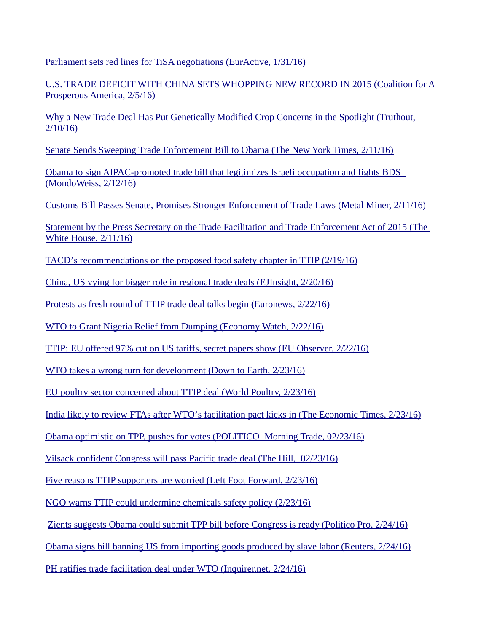[Parliament sets red lines for TiSA negotiations \(EurActive, 1/31/16\)](http://www.euractiv.com/section/trade-society/news/parliament-sets-red-lines-for-tisa-negotiations/)

[U.S. TRADE DEFICIT WITH CHINA SETS WHOPPING NEW RECORD IN 2015 \(Coalition for A](http://www.prosperousamerica.org/u_s_trade_deficit_with_china_sets_whopping_new_record_in_2015)  [Prosperous America, 2/5/16\)](http://www.prosperousamerica.org/u_s_trade_deficit_with_china_sets_whopping_new_record_in_2015)

[Why a New Trade Deal Has Put Genetically Modified Crop Concerns in the Spotlight \(Truthout,](http://www.truth-out.org/opinion/item/34777-why-a-new-trade-deal-has-put-gm-crop-concerns-in-the-spotlight)  [2/10/16\)](http://www.truth-out.org/opinion/item/34777-why-a-new-trade-deal-has-put-gm-crop-concerns-in-the-spotlight)

[Senate Sends Sweeping Trade Enforcement Bill to Obama \(The New York Times, 2/11/16\)](http://www.nytimes.com/2016/02/12/business/international/sweeping-trade-enforcement-law-gets-final-senate-approval.html)

 [Obama to sign AIPAC-promoted trade bill that legitimizes Israeli occupation and fights BDS](http://mondoweiss.net/2016/02/obama-to-sign-aipac-promoted-trade-bill-that-legitimizes-israeli-occupation-and-fights-bds/#sthash.gfXcuqda.dpuf)  [\(MondoWeiss, 2/12/16\)](http://mondoweiss.net/2016/02/obama-to-sign-aipac-promoted-trade-bill-that-legitimizes-israeli-occupation-and-fights-bds/#sthash.gfXcuqda.dpuf)

[Customs Bill Passes Senate, Promises Stronger Enforcement of Trade Laws \(Metal Miner, 2/11/16\)](https://agmetalminer.com/2016/02/11/customs-bill-clears-senate-promises-stronger-enforcement-of-trade-laws/)

[Statement by the Press Secretary on the Trade Facilitation and Trade Enforcement Act of 2015 \(The](https://www.whitehouse.gov/the-press-office/2016/02/11/statement-press-secretary-trade-facilitation-and-trade-enforcement-act)  [White House, 2/11/16\)](https://www.whitehouse.gov/the-press-office/2016/02/11/statement-press-secretary-trade-facilitation-and-trade-enforcement-act)

[TACD's recommendations on the proposed food safety chapter in TTIP \(2/19/16\)](http://tacd.org/tacds-recommendations-on-the-proposed-food-safety-chapter-in-ttip/)

[China, US vying for bigger role in regional trade deals \(EJInsight, 2/20/16\)](http://www.ejinsight.com/20160220-china-us-vying-bigger-role-regional-trade-deals/)

[Protests as fresh round of TTIP trade deal talks begin \(Euronews, 2/22/16\)](http://www.euronews.com/2016/02/22/protests-as-fresh-round-of-ttip-trade-deal-talks-begin/)

[WTO to Grant Nigeria Relief from Dumping \(Economy Watch, 2/22/16\)](http://www.economywatch.com/news/WTO-to-Grant-Nigeria-Relief-from-Dumping0222.html)

[TTIP: EU offered 97% cut on US tariffs, secret papers show \(EU Observer, 2/22/16\)](https://euobserver.com/economic/132376)

[WTO takes a wrong turn for development \(Down to Earth, 2/23/16\)](http://ase.tufts.edu/gdae/Pubs/rp/GC99Feb16Wise.pdf)

[EU poultry sector concerned about TTIP deal \(World Poultry, 2/23/16\)](http://www.worldpoultry.net/Broilers/Markets--Trade/2016/2/EU-poultry-sector-concerned-about-TTIP-deal-2765453W/)

[India likely to review FTAs after WTO's facilitation pact kicks in \(The Economic Times, 2/23/16\)](http://economictimes.indiatimes.com/news/economy/policy/india-likely-to-review-ftas-after-wtos-facilitation-pact-kicks-in/articleshow/51099708.cms)

 [Obama optimistic on TPP, pushes for votes \(POLITICO Morning Trade, 02/23/16\)](http://www.politico.com/tipsheets/morning-trade/2016/02/obama-optimistic-on-tpp-pushes-for-votes-republican-reality-check-eu-tariff-offer-comes-with-strings-attached-212841)

[Vilsack confident Congress will pass Pacific trade deal \(The Hill, 02/23/16\)](http://thehill.com/policy/finance/270507-vilsack-confident-congress-will-pass-pacific-trade-deal)

[Five reasons TTIP supporters are worried \(Left Foot Forward, 2/23/16\)](http://leftfootforward.org/2016/02/five-reasons-ttip-supporters-are-worried/)

[NGO warns TTIP could undermine chemicals safety policy \(2/23/16\)](https://chemicalwatch.com/45294/ngo-warns-ttip-could-undermine-chemicals-safety-policy)

[Zients suggests Obama could submit TPP bill before Congress is ready \(Politico Pro, 2/24/16\)](http://tradejustice.net/?page=Zieints)

[Obama signs bill banning US from importing goods produced by slave labor \(Reuters, 2/24/16\)](https://www.rawstory.com/2016/02/obama-signs-bill-banning-us-from-importing-goods-produced-by-slave-labor/)

[PH ratifies trade facilitation deal under WTO \(Inquirer.net, 2/24/16\)](http://business.inquirer.net/207510/ph-ratifies-trade-facilitation-deal-under-wto)